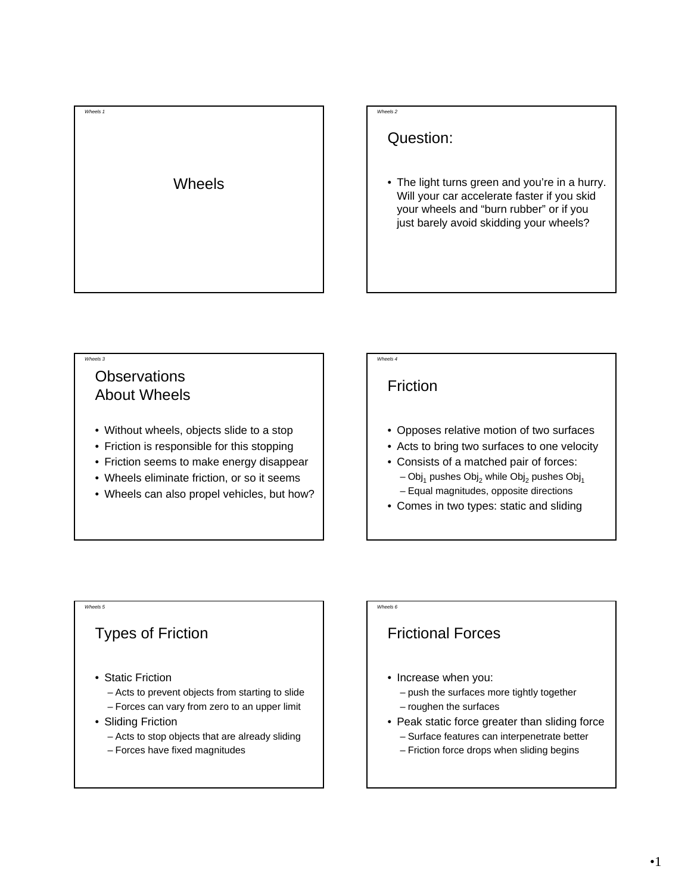

#### *Wheels 2*

### Question:

• The light turns green and you're in a hurry. Will your car accelerate faster if you skid your wheels and "burn rubber" or if you just barely avoid skidding your wheels?

#### *Wheels 3*

### **Observations** About Wheels

- Without wheels, objects slide to a stop
- Friction is responsible for this stopping
- Friction seems to make energy disappear
- Wheels eliminate friction, or so it seems
- Wheels can also propel vehicles, but how?

# *Wheels 4*

*Wheels 6*

## Friction

- Opposes relative motion of two surfaces
- Acts to bring two surfaces to one velocity
- Consists of a matched pair of forces:  $-$  Obj<sub>1</sub> pushes Obj<sub>2</sub> while Obj<sub>2</sub> pushes Obj<sub>1</sub> – Equal magnitudes, opposite directions
- Comes in two types: static and sliding

#### *Wheels 5*

# Types of Friction

- Static Friction
	- Acts to prevent objects from starting to slide
- Forces can vary from zero to an upper limit
- Sliding Friction
	- Acts to stop objects that are already sliding
	- Forces have fixed magnitudes

# Frictional Forces

- Increase when you:
	- push the surfaces more tightly together
	- roughen the surfaces
- Peak static force greater than sliding force
	- Surface features can interpenetrate better
	- Friction force drops when sliding begins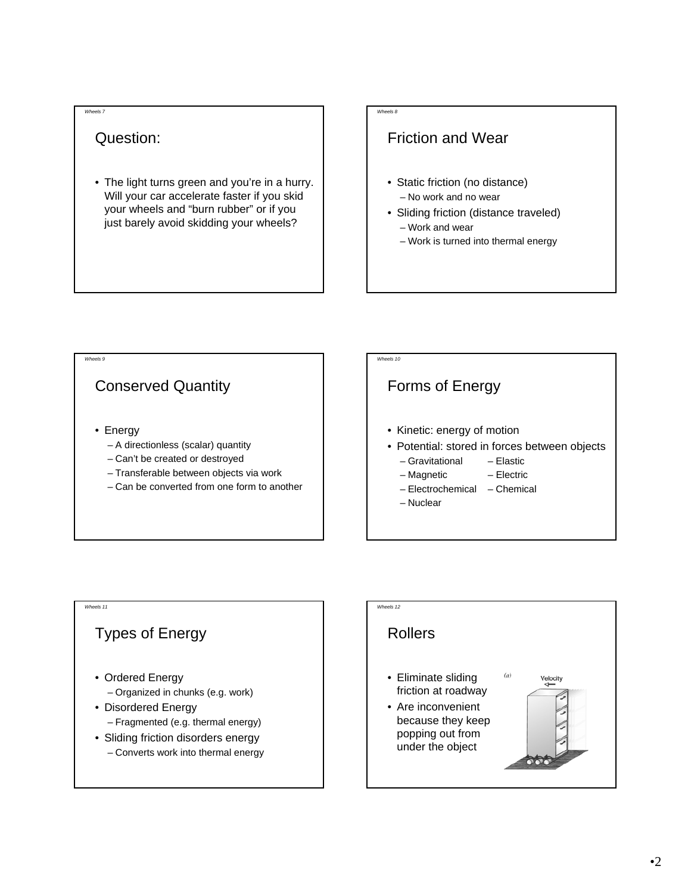#### *Wheels 7*

# Question:

• The light turns green and you're in a hurry. Will your car accelerate faster if you skid your wheels and "burn rubber" or if you just barely avoid skidding your wheels?

### *Wheels 8*

## Friction and Wear

- Static friction (no distance) – No work and no wear
- Sliding friction (distance traveled) – Work and wear
	- Work is turned into thermal energy



# Types of Energy • Ordered Energy – Organized in chunks (e.g. work) • Disordered Energy

*Wheels 11*

- Fragmented (e.g. thermal energy)
- Sliding friction disorders energy
- Converts work into thermal energy